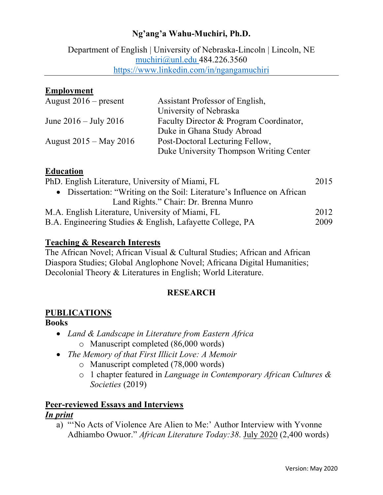## **Ng'ang'a Wahu-Muchiri, Ph.D.**

Department of English | University of Nebraska-Lincoln | Lincoln, NE muchiri@unl.edu 484.226.3560 https://www.linkedin.com/in/ngangamuchiri

### **Employment**

| August $2016$ – present    | Assistant Professor of English,         |
|----------------------------|-----------------------------------------|
|                            | University of Nebraska                  |
| June $2016 -$ July 2016    | Faculty Director & Program Coordinator, |
|                            | Duke in Ghana Study Abroad              |
| August $2015 -$ May $2016$ | Post-Doctoral Lecturing Fellow,         |
|                            | Duke University Thompson Writing Center |

### **Education**

| PhD. English Literature, University of Miami, FL                        |      |
|-------------------------------------------------------------------------|------|
| • Dissertation: "Writing on the Soil: Literature's Influence on African |      |
| Land Rights." Chair: Dr. Brenna Munro                                   |      |
| M.A. English Literature, University of Miami, FL                        | 2012 |
| B.A. Engineering Studies & English, Lafayette College, PA               |      |
|                                                                         |      |

### **Teaching & Research Interests**

The African Novel; African Visual & Cultural Studies; African and African Diaspora Studies; Global Anglophone Novel; Africana Digital Humanities; Decolonial Theory & Literatures in English; World Literature.

### **RESEARCH**

## **PUBLICATIONS**

### **Books**

- *Land & Landscape in Literature from Eastern Africa*
	- o Manuscript completed (86,000 words)
- *The Memory of that First Illicit Love: A Memoir*
	- o Manuscript completed (78,000 words)
	- o 1 chapter featured in *Language in Contemporary African Cultures & Societies* (2019)

### **Peer-reviewed Essays and Interviews** *In print*

a) "'No Acts of Violence Are Alien to Me:' Author Interview with Yvonne Adhiambo Owuor." *African Literature Today:38*. July 2020 (2,400 words)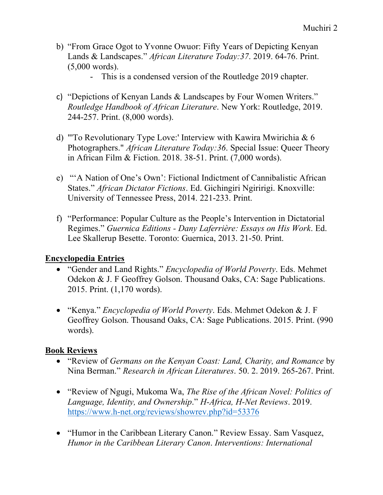- b) "From Grace Ogot to Yvonne Owuor: Fifty Years of Depicting Kenyan Lands & Landscapes." *African Literature Today:37*. 2019. 64-76. Print. (5,000 words).
	- This is a condensed version of the Routledge 2019 chapter.
- c) "Depictions of Kenyan Lands & Landscapes by Four Women Writers." *Routledge Handbook of African Literature*. New York: Routledge, 2019. 244-257. Print. (8,000 words).
- d) "'To Revolutionary Type Love:' Interview with Kawira Mwirichia & 6 Photographers." *African Literature Today:36*. Special Issue: Queer Theory in African Film & Fiction. 2018. 38-51. Print. (7,000 words).
- e) "'A Nation of One's Own': Fictional Indictment of Cannibalistic African States." *African Dictator Fictions*. Ed. Gichingiri Ngiririgi. Knoxville: University of Tennessee Press, 2014. 221-233. Print.
- f) "Performance: Popular Culture as the People's Intervention in Dictatorial Regimes." *Guernica Editions - Dany Laferrière: Essays on His Work*. Ed. Lee Skallerup Besette. Toronto: Guernica, 2013. 21-50. Print.

# **Encyclopedia Entries**

- "Gender and Land Rights." *Encyclopedia of World Poverty*. Eds. Mehmet Odekon & J. F Geoffrey Golson. Thousand Oaks, CA: Sage Publications. 2015. Print. (1,170 words).
- "Kenya." *Encyclopedia of World Poverty*. Eds. Mehmet Odekon & J. F Geoffrey Golson. Thousand Oaks, CA: Sage Publications. 2015. Print. (990 words).

# **Book Reviews**

- "Review of *Germans on the Kenyan Coast: Land, Charity, and Romance* by Nina Berman." *Research in African Literatures*. 50. 2. 2019. 265-267. Print.
- "Review of Ngugi, Mukoma Wa, *The Rise of the African Novel: Politics of Language, Identity, and Ownership*." *H-Africa, H-Net Reviews*. 2019. https://www.h-net.org/reviews/showrev.php?id=53376
- "Humor in the Caribbean Literary Canon." Review Essay. Sam Vasquez, *Humor in the Caribbean Literary Canon*. *Interventions: International*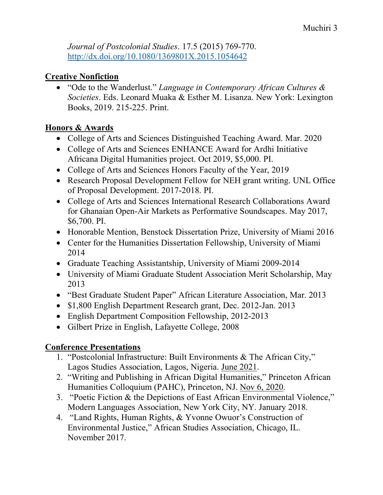*Journal of Postcolonial Studies*. 17.5 (2015) 769-770. http://dx.doi.org/10.1080/1369801X.2015.1054642

# **Creative Nonfiction**

• "Ode to the Wanderlust." *Language in Contemporary African Cultures & Societies*. Eds. Leonard Muaka & Esther M. Lisanza. New York: Lexington Books, 2019. 215-225. Print.

# **Honors & Awards**

- College of Arts and Sciences Distinguished Teaching Award. Mar. 2020
- College of Arts and Sciences ENHANCE Award for Ardhi Initiative Africana Digital Humanities project. Oct 2019, \$5,000. PI.
- College of Arts and Sciences Honors Faculty of the Year, 2019
- Research Proposal Development Fellow for NEH grant writing. UNL Office of Proposal Development. 2017-2018. PI.
- College of Arts and Sciences International Research Collaborations Award for Ghanaian Open-Air Markets as Performative Soundscapes. May 2017, \$6,700. PI.
- Honorable Mention, Benstock Dissertation Prize, University of Miami 2016
- Center for the Humanities Dissertation Fellowship, University of Miami 2014
- Graduate Teaching Assistantship, University of Miami 2009-2014
- University of Miami Graduate Student Association Merit Scholarship, May 2013
- "Best Graduate Student Paper" African Literature Association, Mar. 2013
- \$1,800 English Department Research grant, Dec. 2012-Jan. 2013
- English Department Composition Fellowship, 2012-2013
- Gilbert Prize in English, Lafayette College, 2008

# **Conference Presentations**

- 1. "Postcolonial Infrastructure: Built Environments & The African City," Lagos Studies Association, Lagos, Nigeria. June 2021.
- 2. "Writing and Publishing in African Digital Humanities," Princeton African Humanities Colloquium (PAHC), Princeton, NJ. Nov 6, 2020.
- 3. "Poetic Fiction & the Depictions of East African Environmental Violence," Modern Languages Association, New York City, NY. January 2018.
- 4. "Land Rights, Human Rights, & Yvonne Owuor's Construction of Environmental Justice," African Studies Association, Chicago, IL. November 2017.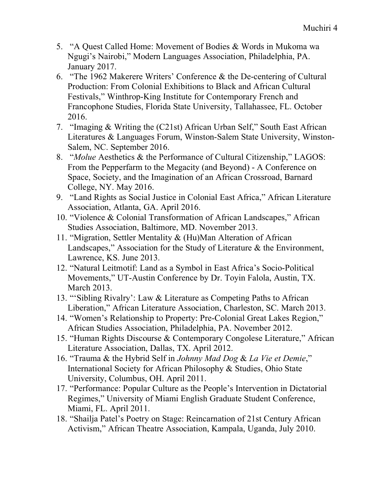- 5. "A Quest Called Home: Movement of Bodies & Words in Mukoma wa Ngugi's Nairobi," Modern Languages Association, Philadelphia, PA. January 2017.
- 6. "The 1962 Makerere Writers' Conference & the De-centering of Cultural Production: From Colonial Exhibitions to Black and African Cultural Festivals," Winthrop-King Institute for Contemporary French and Francophone Studies, Florida State University, Tallahassee, FL. October 2016.
- 7. "Imaging & Writing the (C21st) African Urban Self," South East African Literatures & Languages Forum, Winston-Salem State University, Winston-Salem, NC. September 2016.
- 8. "*Molue* Aesthetics & the Performance of Cultural Citizenship," LAGOS: From the Pepperfarm to the Megacity (and Beyond) - A Conference on Space, Society, and the Imagination of an African Crossroad, Barnard College, NY. May 2016.
- 9. "Land Rights as Social Justice in Colonial East Africa," African Literature Association, Atlanta, GA. April 2016.
- 10. "Violence & Colonial Transformation of African Landscapes," African Studies Association, Baltimore, MD. November 2013.
- 11. "Migration, Settler Mentality & (Hu)Man Alteration of African Landscapes," Association for the Study of Literature & the Environment, Lawrence, KS. June 2013.
- 12. "Natural Leitmotif: Land as a Symbol in East Africa's Socio-Political Movements," UT-Austin Conference by Dr. Toyin Falola, Austin, TX. March 2013.
- 13. "'Sibling Rivalry': Law & Literature as Competing Paths to African Liberation," African Literature Association, Charleston, SC. March 2013.
- 14. "Women's Relationship to Property: Pre-Colonial Great Lakes Region," African Studies Association, Philadelphia, PA. November 2012.
- 15. "Human Rights Discourse & Contemporary Congolese Literature," African Literature Association, Dallas, TX. April 2012.
- 16. "Trauma & the Hybrid Self in *Johnny Mad Dog* & *La Vie et Demie*," International Society for African Philosophy & Studies, Ohio State University, Columbus, OH. April 2011.
- 17. "Performance: Popular Culture as the People's Intervention in Dictatorial Regimes," University of Miami English Graduate Student Conference, Miami, FL. April 2011.
- 18. "Shailja Patel's Poetry on Stage: Reincarnation of 21st Century African Activism," African Theatre Association, Kampala, Uganda, July 2010.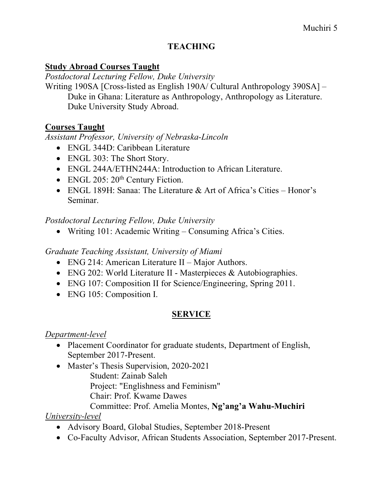# **TEACHING**

### **Study Abroad Courses Taught**

*Postdoctoral Lecturing Fellow, Duke University*

Writing 190SA [Cross-listed as English 190A/ Cultural Anthropology 390SA] – Duke in Ghana: Literature as Anthropology, Anthropology as Literature. Duke University Study Abroad.

## **Courses Taught**

*Assistant Professor, University of Nebraska-Lincoln*

- ENGL 344D: Caribbean Literature
- ENGL 303: The Short Story.
- ENGL 244A/ETHN244A: Introduction to African Literature.
- ENGL 205:  $20^{th}$  Century Fiction.
- ENGL 189H: Sanaa: The Literature & Art of Africa's Cities Honor's Seminar.

### *Postdoctoral Lecturing Fellow, Duke University*

• Writing 101: Academic Writing – Consuming Africa's Cities.

## *Graduate Teaching Assistant, University of Miami*

- ENG 214: American Literature II Major Authors.
- ENG 202: World Literature II Masterpieces & Autobiographies.
- ENG 107: Composition II for Science/Engineering, Spring 2011.
- ENG 105: Composition I.

# **SERVICE**

## *Department-level*

- Placement Coordinator for graduate students, Department of English, September 2017-Present.
- Master's Thesis Supervision, 2020-2021 Student: Zainab Saleh Project: "Englishness and Feminism" Chair: Prof. Kwame Dawes Committee: Prof. Amelia Montes, **Ng'ang'a Wahu-Muchiri**

## *University-level*

- Advisory Board, Global Studies, September 2018-Present
- Co-Faculty Advisor, African Students Association, September 2017-Present.